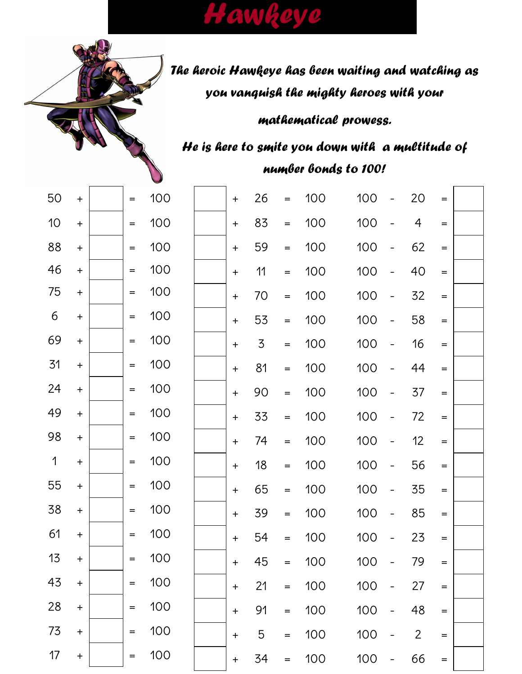# Hawkeye

## The heroic Hawkeye has been waiting and watching as you vanguish the mighty heroes with your

mathematical prowess.

He is here to smite you down with a multitude of number bonds to 100!

| 100 | $\ddot{}$                        | 26             | $=$ | 100 | 100 |                          | 20             | $=$               |  |
|-----|----------------------------------|----------------|-----|-----|-----|--------------------------|----------------|-------------------|--|
| 100 | $\begin{array}{c} + \end{array}$ | 83             | $=$ | 100 | 100 |                          | 4              | $=$               |  |
| 100 | $\begin{array}{c} + \end{array}$ | 59             | $=$ | 100 | 100 |                          | 62             | $=$               |  |
| 100 | $\ddot{}$                        | 11             | $=$ | 100 | 100 |                          | 40             | $=$               |  |
| 100 | $\ddot{}$                        | 70             | $=$ | 100 | 100 |                          | 32             | $=$               |  |
| 100 | $\ddot{}$                        | 53             | $=$ | 100 | 100 | $\overline{\phantom{0}}$ | 58             | $=$               |  |
| 100 | $\ddagger$                       | $\overline{3}$ | $=$ | 100 | 100 |                          | 16             | $=$               |  |
| 100 | $\ddot{}$                        | 81             | $=$ | 100 | 100 |                          | 44             | $=$               |  |
| 100 | $\ddot{}$                        | 90             | $=$ | 100 | 100 |                          | 37             | $=$               |  |
| 100 | $\ddot{}$                        | 33             | $=$ | 100 | 100 |                          | 72             | $\qquad \qquad =$ |  |
| 100 | $\ddot{}$                        | 74             | $=$ | 100 | 100 | $\overline{\phantom{0}}$ | 12             | $=$               |  |
| 100 | $\ddot{}$                        | 18             | $=$ | 100 | 100 |                          | 56             | $\qquad \qquad =$ |  |
| 100 | $\ddot{}$                        | 65             | $=$ | 100 | 100 | $\overline{\phantom{0}}$ | 35             | $=$               |  |
| 100 | $\ddot{}$                        | 39             | $=$ | 100 | 100 | $\overline{\phantom{0}}$ | 85             | $\qquad \qquad =$ |  |
| 100 | $\ddot{}$                        | 54             | $=$ | 100 | 100 | $\overline{\phantom{0}}$ | 23             | $=$               |  |
| 100 | $\ddot{}$                        | 45             | $=$ | 100 | 100 |                          | 79             | $=$               |  |
| 100 | $\ddot{}$                        | 21             | $=$ | 100 | 100 |                          | 27             | $=$               |  |
| 100 | $+$                              | 91             | $=$ | 100 | 100 |                          | 48             | $=$               |  |
| 100 | $\ddot{}$                        | 5              | $=$ | 100 | 100 |                          | $\overline{2}$ | $=$               |  |
| 100 | $\ddot{}$                        | 34             | $=$ | 100 | 100 |                          | 66             | $=$               |  |
|     |                                  |                |     |     |     |                          |                |                   |  |

| 50 | $\ddot{}$ | =   | 100 |
|----|-----------|-----|-----|
| 10 | $\ddot{}$ | =   | 100 |
| 88 | $\ddot{}$ |     | 100 |
| 46 | $\ddot{}$ | $=$ | 100 |
| 75 | $\ddot{}$ | $=$ | 100 |
| 6  | $\ddot{}$ | $=$ | 100 |
| 69 | $\ddot{}$ | $=$ | 100 |
| 31 | $\ddot{}$ | =   | 100 |
| 24 | $\ddot{}$ | $=$ | 100 |
| 49 | $\ddot{}$ | =   | 100 |
| 98 | $\ddot{}$ | $=$ | 100 |
| 1  | $\ddag$   | $=$ | 100 |
| 55 | $\ddot{}$ | $=$ | 100 |
| 38 | $\ddot{}$ | $=$ | 100 |
| 61 | $\ddot{}$ | $=$ | 100 |
| 13 | $\ddot{}$ |     | 100 |
| 43 | $\ddag$   |     | 100 |
| 28 | $\ddag$   |     | 100 |
| 73 | $\ddot{}$ |     | 100 |
| 17 | Ł         |     | 100 |